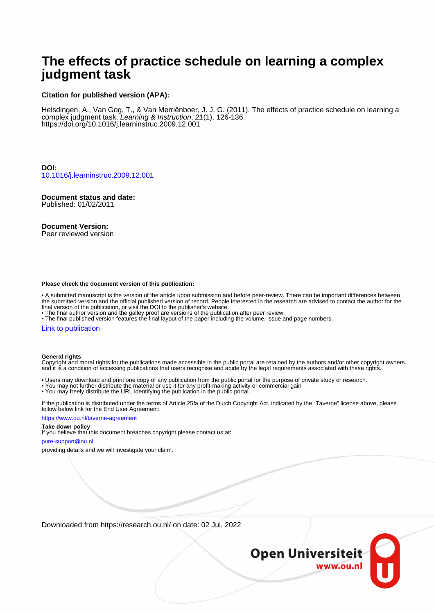# **The effects of practice schedule on learning a complex judgment task**

#### **Citation for published version (APA):**

Helsdingen, A., Van Gog, T., & Van Merriënboer, J. J. G. (2011). The effects of practice schedule on learning a complex judgment task. Learning & Instruction, 21(1), 126-136. <https://doi.org/10.1016/j.learninstruc.2009.12.001>

**DOI:** [10.1016/j.learninstruc.2009.12.001](https://doi.org/10.1016/j.learninstruc.2009.12.001)

**Document status and date:** Published: 01/02/2011

### **Document Version:**

Peer reviewed version

#### **Please check the document version of this publication:**

• A submitted manuscript is the version of the article upon submission and before peer-review. There can be important differences between the submitted version and the official published version of record. People interested in the research are advised to contact the author for the final version of the publication, or visit the DOI to the publisher's website.

• The final author version and the galley proof are versions of the publication after peer review.

• The final published version features the final layout of the paper including the volume, issue and page numbers.

#### [Link to publication](https://research.ou.nl/en/publications/84bd03ee-94ce-4532-bdc2-a59195e2c351)

#### **General rights**

Copyright and moral rights for the publications made accessible in the public portal are retained by the authors and/or other copyright owners and it is a condition of accessing publications that users recognise and abide by the legal requirements associated with these rights.

- Users may download and print one copy of any publication from the public portal for the purpose of private study or research.
- You may not further distribute the material or use it for any profit-making activity or commercial gain
- You may freely distribute the URL identifying the publication in the public portal.

If the publication is distributed under the terms of Article 25fa of the Dutch Copyright Act, indicated by the "Taverne" license above, please follow below link for the End User Agreement:

#### https://www.ou.nl/taverne-agreement

# **Take down policy**

If you believe that this document breaches copyright please contact us at:

#### pure-support@ou.nl

providing details and we will investigate your claim.

Downloaded from https://research.ou.nl/ on date: 02 Jul. 2022

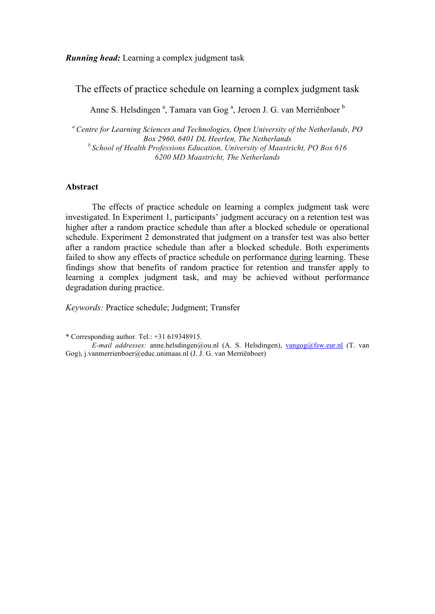*Running head:* Learning a complex judgment task

The effects of practice schedule on learning a complex judgment task

Anne S. Helsdingen<sup>a</sup>, Tamara van Gog<sup>a</sup>, Jeroen J. G. van Merriënboer <sup>b</sup>

*aCentre for Learning Sciences and Technologies, Open University of the Netherlands, PO Box 2960, 6401 DL Heerlen, The Netherlands b School of Health Professions Education, University of Maastricht, PO Box 616 6200 MD Maastricht, The Netherlands*

# **Abstract**

The effects of practice schedule on learning a complex judgment task were investigated. In Experiment 1, participants' judgment accuracy on a retention test was higher after a random practice schedule than after a blocked schedule or operational schedule. Experiment 2 demonstrated that judgment on a transfer test was also better after a random practice schedule than after a blocked schedule. Both experiments failed to show any effects of practice schedule on performance during learning. These findings show that benefits of random practice for retention and transfer apply to learning a complex judgment task, and may be achieved without performance degradation during practice.

*Keywords:* Practice schedule; Judgment; Transfer

\* Corresponding author. Tel.: +31 619348915.

*E-mail addresses:* anne.helsdingen@ou.nl (A. S. Helsdingen), vangog@fsw.eur.nl (T. van Gog), j.vanmerrienboer@educ.unimaas.nl (J. J. G. van Merriënboer)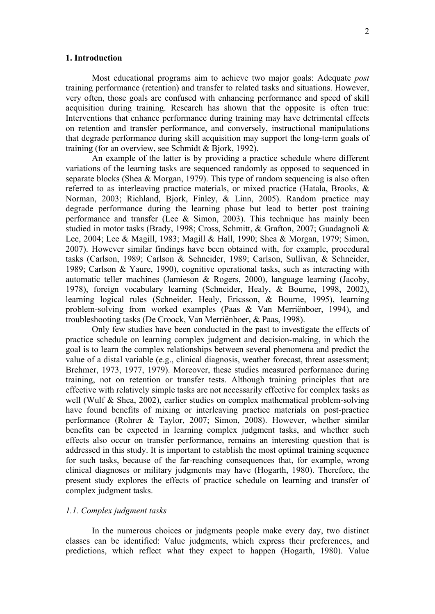# **1. Introduction**

Most educational programs aim to achieve two major goals: Adequate *post* training performance (retention) and transfer to related tasks and situations. However, very often, those goals are confused with enhancing performance and speed of skill acquisition during training. Research has shown that the opposite is often true: Interventions that enhance performance during training may have detrimental effects on retention and transfer performance, and conversely, instructional manipulations that degrade performance during skill acquisition may support the long-term goals of training (for an overview, see Schmidt & Bjork, 1992).

An example of the latter is by providing a practice schedule where different variations of the learning tasks are sequenced randomly as opposed to sequenced in separate blocks (Shea & Morgan, 1979). This type of random sequencing is also often referred to as interleaving practice materials, or mixed practice (Hatala, Brooks, & Norman, 2003; Richland, Bjork, Finley, & Linn, 2005). Random practice may degrade performance during the learning phase but lead to better post training performance and transfer (Lee & Simon, 2003). This technique has mainly been studied in motor tasks (Brady, 1998; Cross, Schmitt, & Grafton, 2007; Guadagnoli & Lee, 2004; Lee & Magill, 1983; Magill & Hall, 1990; Shea & Morgan, 1979; Simon, 2007). However similar findings have been obtained with, for example, procedural tasks (Carlson, 1989; Carlson & Schneider, 1989; Carlson, Sullivan, & Schneider, 1989; Carlson & Yaure, 1990), cognitive operational tasks, such as interacting with automatic teller machines (Jamieson & Rogers, 2000), language learning (Jacoby, 1978), foreign vocabulary learning (Schneider, Healy, & Bourne, 1998, 2002), learning logical rules (Schneider, Healy, Ericsson, & Bourne, 1995), learning problem-solving from worked examples (Paas & Van Merriënboer, 1994), and troubleshooting tasks (De Croock, Van Merriënboer, & Paas, 1998).

Only few studies have been conducted in the past to investigate the effects of practice schedule on learning complex judgment and decision-making, in which the goal is to learn the complex relationships between several phenomena and predict the value of a distal variable (e.g., clinical diagnosis, weather forecast, threat assessment; Brehmer, 1973, 1977, 1979). Moreover, these studies measured performance during training, not on retention or transfer tests. Although training principles that are effective with relatively simple tasks are not necessarily effective for complex tasks as well (Wulf & Shea, 2002), earlier studies on complex mathematical problem-solving have found benefits of mixing or interleaving practice materials on post-practice performance (Rohrer & Taylor, 2007; Simon, 2008). However, whether similar benefits can be expected in learning complex judgment tasks, and whether such effects also occur on transfer performance, remains an interesting question that is addressed in this study. It is important to establish the most optimal training sequence for such tasks, because of the far-reaching consequences that, for example, wrong clinical diagnoses or military judgments may have (Hogarth, 1980). Therefore, the present study explores the effects of practice schedule on learning and transfer of complex judgment tasks.

# *1.1. Complex judgment tasks*

In the numerous choices or judgments people make every day, two distinct classes can be identified: Value judgments, which express their preferences, and predictions, which reflect what they expect to happen (Hogarth, 1980). Value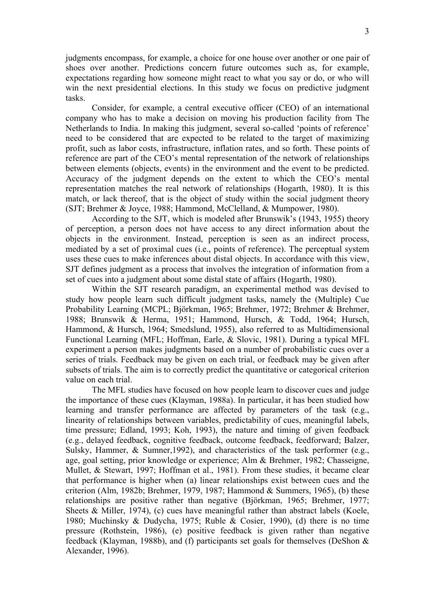judgments encompass, for example, a choice for one house over another or one pair of shoes over another. Predictions concern future outcomes such as, for example, expectations regarding how someone might react to what you say or do, or who will win the next presidential elections. In this study we focus on predictive judgment tasks.

Consider, for example, a central executive officer (CEO) of an international company who has to make a decision on moving his production facility from The Netherlands to India. In making this judgment, several so-called 'points of reference' need to be considered that are expected to be related to the target of maximizing profit, such as labor costs, infrastructure, inflation rates, and so forth. These points of reference are part of the CEO's mental representation of the network of relationships between elements (objects, events) in the environment and the event to be predicted. Accuracy of the judgment depends on the extent to which the CEO's mental representation matches the real network of relationships (Hogarth, 1980). It is this match, or lack thereof, that is the object of study within the social judgment theory (SJT; Brehmer & Joyce, 1988; Hammond, McClelland, & Mumpower, 1980).

According to the SJT, which is modeled after Brunswik's (1943, 1955) theory of perception, a person does not have access to any direct information about the objects in the environment. Instead, perception is seen as an indirect process, mediated by a set of proximal cues (i.e., points of reference). The perceptual system uses these cues to make inferences about distal objects. In accordance with this view, SJT defines judgment as a process that involves the integration of information from a set of cues into a judgment about some distal state of affairs (Hogarth, 1980).

Within the SJT research paradigm, an experimental method was devised to study how people learn such difficult judgment tasks, namely the (Multiple) Cue Probability Learning (MCPL; Björkman, 1965; Brehmer, 1972; Brehmer & Brehmer, 1988; Brunswik & Herma, 1951; Hammond, Hursch, & Todd, 1964; Hursch, Hammond, & Hursch, 1964; Smedslund, 1955), also referred to as Multidimensional Functional Learning (MFL; Hoffman, Earle, & Slovic, 1981). During a typical MFL experiment a person makes judgments based on a number of probabilistic cues over a series of trials. Feedback may be given on each trial, or feedback may be given after subsets of trials. The aim is to correctly predict the quantitative or categorical criterion value on each trial.

The MFL studies have focused on how people learn to discover cues and judge the importance of these cues (Klayman, 1988a). In particular, it has been studied how learning and transfer performance are affected by parameters of the task (e.g., linearity of relationships between variables, predictability of cues, meaningful labels, time pressure; Edland, 1993; Koh, 1993), the nature and timing of given feedback (e.g., delayed feedback, cognitive feedback, outcome feedback, feedforward; Balzer, Sulsky, Hammer, & Sumner,1992), and characteristics of the task performer (e.g., age, goal setting, prior knowledge or experience; Alm & Brehmer, 1982; Chasseigne, Mullet, & Stewart, 1997; Hoffman et al., 1981). From these studies, it became clear that performance is higher when (a) linear relationships exist between cues and the criterion (Alm, 1982b; Brehmer, 1979, 1987; Hammond & Summers, 1965), (b) these relationships are positive rather than negative (Björkman, 1965; Brehmer, 1977; Sheets  $\&$  Miller, 1974), (c) cues have meaningful rather than abstract labels (Koele, 1980; Muchinsky & Dudycha, 1975; Ruble & Cosier, 1990), (d) there is no time pressure (Rothstein, 1986), (e) positive feedback is given rather than negative feedback (Klayman, 1988b), and (f) participants set goals for themselves (DeShon & Alexander, 1996).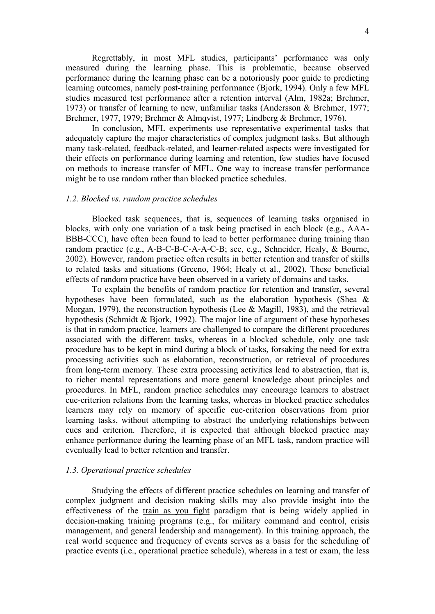Regrettably, in most MFL studies, participants' performance was only measured during the learning phase. This is problematic, because observed performance during the learning phase can be a notoriously poor guide to predicting learning outcomes, namely post-training performance (Bjork, 1994). Only a few MFL studies measured test performance after a retention interval (Alm, 1982a; Brehmer, 1973) or transfer of learning to new, unfamiliar tasks (Andersson & Brehmer, 1977; Brehmer, 1977, 1979; Brehmer & Almqvist, 1977; Lindberg & Brehmer, 1976).

In conclusion, MFL experiments use representative experimental tasks that adequately capture the major characteristics of complex judgment tasks. But although many task-related, feedback-related, and learner-related aspects were investigated for their effects on performance during learning and retention, few studies have focused on methods to increase transfer of MFL. One way to increase transfer performance might be to use random rather than blocked practice schedules.

# *1.2. Blocked vs. random practice schedules*

Blocked task sequences, that is, sequences of learning tasks organised in blocks, with only one variation of a task being practised in each block (e.g., AAA-BBB-CCC), have often been found to lead to better performance during training than random practice (e.g., A-B-C-B-C-A-A-C-B; see, e.g., Schneider, Healy, & Bourne, 2002). However, random practice often results in better retention and transfer of skills to related tasks and situations (Greeno, 1964; Healy et al., 2002). These beneficial effects of random practice have been observed in a variety of domains and tasks.

To explain the benefits of random practice for retention and transfer, several hypotheses have been formulated, such as the elaboration hypothesis (Shea  $\&$ Morgan, 1979), the reconstruction hypothesis (Lee & Magill, 1983), and the retrieval hypothesis (Schmidt & Bjork, 1992). The major line of argument of these hypotheses is that in random practice, learners are challenged to compare the different procedures associated with the different tasks, whereas in a blocked schedule, only one task procedure has to be kept in mind during a block of tasks, forsaking the need for extra processing activities such as elaboration, reconstruction, or retrieval of procedures from long-term memory. These extra processing activities lead to abstraction, that is, to richer mental representations and more general knowledge about principles and procedures. In MFL, random practice schedules may encourage learners to abstract cue-criterion relations from the learning tasks, whereas in blocked practice schedules learners may rely on memory of specific cue-criterion observations from prior learning tasks, without attempting to abstract the underlying relationships between cues and criterion. Therefore, it is expected that although blocked practice may enhance performance during the learning phase of an MFL task, random practice will eventually lead to better retention and transfer.

# *1.3. Operational practice schedules*

Studying the effects of different practice schedules on learning and transfer of complex judgment and decision making skills may also provide insight into the effectiveness of the train as you fight paradigm that is being widely applied in decision-making training programs (e.g., for military command and control, crisis management, and general leadership and management). In this training approach, the real world sequence and frequency of events serves as a basis for the scheduling of practice events (i.e., operational practice schedule), whereas in a test or exam, the less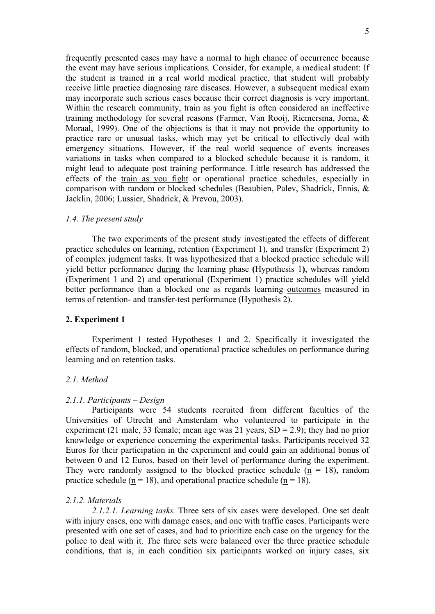frequently presented cases may have a normal to high chance of occurrence because the event may have serious implications*.* Consider, for example, a medical student: If the student is trained in a real world medical practice, that student will probably receive little practice diagnosing rare diseases. However, a subsequent medical exam may incorporate such serious cases because their correct diagnosis is very important. Within the research community, train as you fight is often considered an ineffective training methodology for several reasons (Farmer, Van Rooij, Riemersma, Jorna, & Moraal, 1999). One of the objections is that it may not provide the opportunity to practice rare or unusual tasks, which may yet be critical to effectively deal with emergency situations. However, if the real world sequence of events increases variations in tasks when compared to a blocked schedule because it is random, it might lead to adequate post training performance. Little research has addressed the effects of the train as you fight or operational practice schedules, especially in comparison with random or blocked schedules (Beaubien, Palev, Shadrick, Ennis, & Jacklin, 2006; Lussier, Shadrick, & Prevou, 2003).

# *1.4. The present study*

The two experiments of the present study investigated the effects of different practice schedules on learning, retention (Experiment 1), and transfer (Experiment 2) of complex judgment tasks. It was hypothesized that a blocked practice schedule will yield better performance during the learning phase **(**Hypothesis 1**)**, whereas random (Experiment 1 and 2) and operational (Experiment 1) practice schedules will yield better performance than a blocked one as regards learning outcomes measured in terms of retention- and transfer-test performance (Hypothesis 2).

# **2. Experiment 1**

Experiment 1 tested Hypotheses 1 and 2. Specifically it investigated the effects of random, blocked, and operational practice schedules on performance during learning and on retention tasks.

# *2.1. Method*

### *2.1.1. Participants – Design*

Participants were 54 students recruited from different faculties of the Universities of Utrecht and Amsterdam who volunteered to participate in the experiment (21 male, 33 female; mean age was 21 years,  $SD = 2.9$ ); they had no prior knowledge or experience concerning the experimental tasks. Participants received 32 Euros for their participation in the experiment and could gain an additional bonus of between 0 and 12 Euros, based on their level of performance during the experiment. They were randomly assigned to the blocked practice schedule  $(n = 18)$ , random practice schedule ( $n = 18$ ), and operational practice schedule ( $n = 18$ ).

# *2.1.2. Materials*

*2.1.2.1. Learning tasks.* Three sets of six cases were developed. One set dealt with injury cases, one with damage cases, and one with traffic cases. Participants were presented with one set of cases, and had to prioritize each case on the urgency for the police to deal with it. The three sets were balanced over the three practice schedule conditions, that is, in each condition six participants worked on injury cases, six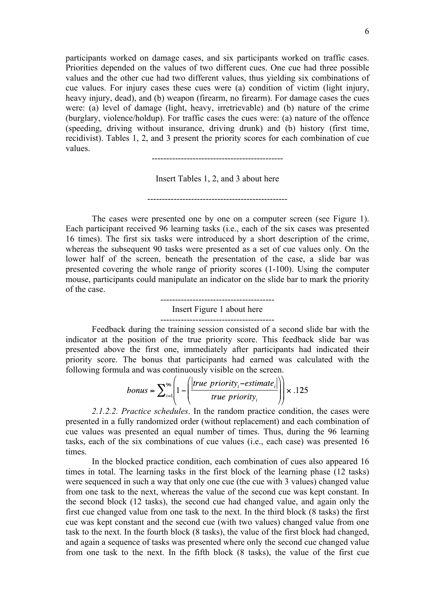participants worked on damage cases, and six participants worked on traffic cases. Priorities depended on the values of two different cues. One cue had three possible values and the other cue had two different values, thus yielding six combinations of cue values. For injury cases these cues were (a) condition of victim (light injury, heavy injury, dead), and (b) weapon (firearm, no firearm). For damage cases the cues were: (a) level of damage (light, heavy, irretrievable) and (b) nature of the crime (burglary, violence/holdup). For traffic cases the cues were: (a) nature of the offence (speeding, driving without insurance, driving drunk) and (b) history (first time, recidivist). Tables 1, 2, and 3 present the priority scores for each combination of cue values.

 $-$ 

Insert Tables 1, 2, and 3 about here

------------------------------------------------

The cases were presented one by one on a computer screen (see Figure 1). Each participant received 96 learning tasks (i.e., each of the six cases was presented 16 times). The first six tasks were introduced by a short description of the crime, whereas the subsequent 90 tasks were presented as a set of cue values only. On the lower half of the screen, beneath the presentation of the case, a slide bar was presented covering the whole range of priority scores (1-100). Using the computer mouse, participants could manipulate an indicator on the slide bar to mark the priority of the case.

### --------------------------------------- Insert Figure 1 about here ---------------------------------------

Feedback during the training session consisted of a second slide bar with the indicator at the position of the true priority score. This feedback slide bar was presented above the first one, immediately after participants had indicated their priority score. The bonus that participants had earned was calculated with the following formula and was continuously visible on the screen.

$$
bonus = \sum_{i=1}^{96} \left( 1 - \left( \frac{|true\; priority_i-estimate_i|}{true\; priority_i} \right) \right) \times .125
$$

*2.1.2.2. Practice schedules*. In the random practice condition, the cases were presented in a fully randomized order (without replacement) and each combination of cue values was presented an equal number of times. Thus, during the 96 learning tasks, each of the six combinations of cue values (i.e., each case) was presented 16 times.

In the blocked practice condition, each combination of cues also appeared 16 times in total. The learning tasks in the first block of the learning phase (12 tasks) were sequenced in such a way that only one cue (the cue with 3 values) changed value from one task to the next, whereas the value of the second cue was kept constant. In the second block (12 tasks), the second cue had changed value, and again only the first cue changed value from one task to the next. In the third block (8 tasks) the first cue was kept constant and the second cue (with two values) changed value from one task to the next. In the fourth block (8 tasks), the value of the first block had changed, and again a sequence of tasks was presented where only the second cue changed value from one task to the next. In the fifth block (8 tasks), the value of the first cue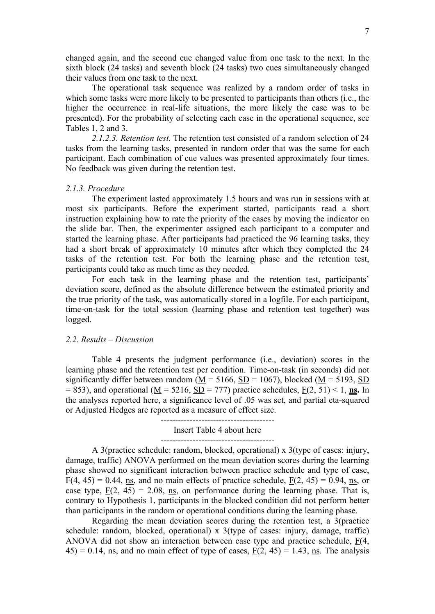changed again, and the second cue changed value from one task to the next. In the sixth block (24 tasks) and seventh block (24 tasks) two cues simultaneously changed their values from one task to the next.

The operational task sequence was realized by a random order of tasks in which some tasks were more likely to be presented to participants than others (i.e., the higher the occurrence in real-life situations, the more likely the case was to be presented). For the probability of selecting each case in the operational sequence, see Tables 1, 2 and 3.

*2.1.2.3. Retention test.* The retention test consisted of a random selection of 24 tasks from the learning tasks, presented in random order that was the same for each participant. Each combination of cue values was presented approximately four times. No feedback was given during the retention test.

# *2.1.3. Procedure*

The experiment lasted approximately 1.5 hours and was run in sessions with at most six participants. Before the experiment started, participants read a short instruction explaining how to rate the priority of the cases by moving the indicator on the slide bar. Then, the experimenter assigned each participant to a computer and started the learning phase. After participants had practiced the 96 learning tasks, they had a short break of approximately 10 minutes after which they completed the 24 tasks of the retention test. For both the learning phase and the retention test, participants could take as much time as they needed.

For each task in the learning phase and the retention test, participants' deviation score, defined as the absolute difference between the estimated priority and the true priority of the task, was automatically stored in a logfile. For each participant, time-on-task for the total session (learning phase and retention test together) was logged.

### *2.2. Results – Discussion*

Table 4 presents the judgment performance (i.e., deviation) scores in the learning phase and the retention test per condition. Time-on-task (in seconds) did not significantly differ between random ( $M = 5166$ ,  $SD = 1067$ ), blocked ( $M = 5193$ , SD  $= 853$ ), and operational (M = 5216, SD = 777) practice schedules,  $F(2, 51) < 1$ , ns. In the analyses reported here, a significance level of .05 was set, and partial eta-squared or Adjusted Hedges are reported as a measure of effect size.

> --------------------------------------- Insert Table 4 about here  $-$

A 3(practice schedule: random, blocked, operational) x 3(type of cases: injury, damage, traffic) ANOVA performed on the mean deviation scores during the learning phase showed no significant interaction between practice schedule and type of case,  $F(4, 45) = 0.44$ , ns, and no main effects of practice schedule,  $F(2, 45) = 0.94$ , ns, or case type,  $F(2, 45) = 2.08$ , ns, on performance during the learning phase. That is, contrary to Hypothesis 1, participants in the blocked condition did not perform better than participants in the random or operational conditions during the learning phase.

Regarding the mean deviation scores during the retention test, a 3(practice schedule: random, blocked, operational) x 3(type of cases: injury, damage, traffic) ANOVA did not show an interaction between case type and practice schedule, F(4,  $45$ ) = 0.14, ns, and no main effect of type of cases,  $F(2, 45) = 1.43$ , ns. The analysis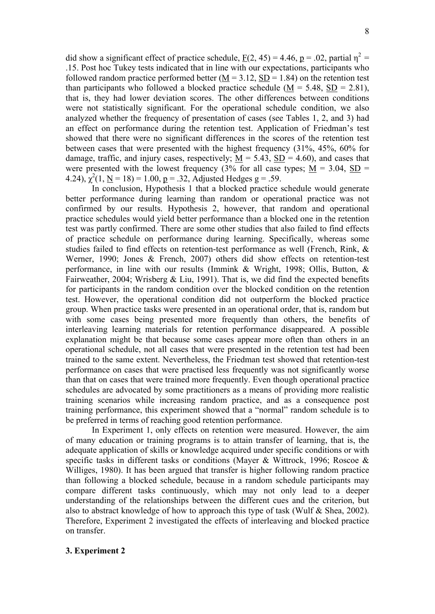did show a significant effect of practice schedule,  $\underline{F}(2, 45) = 4.46$ ,  $\underline{p} = .02$ , partial  $\eta^2 =$ .15. Post hoc Tukey tests indicated that in line with our expectations, participants who followed random practice performed better  $(M = 3.12, SD = 1.84)$  on the retention test than participants who followed a blocked practice schedule  $(M = 5.48, SD = 2.81)$ , that is, they had lower deviation scores. The other differences between conditions were not statistically significant. For the operational schedule condition, we also analyzed whether the frequency of presentation of cases (see Tables 1, 2, and 3) had an effect on performance during the retention test. Application of Friedman's test showed that there were no significant differences in the scores of the retention test between cases that were presented with the highest frequency (31%, 45%, 60% for damage, traffic, and injury cases, respectively;  $M = 5.43$ ,  $SD = 4.60$ ), and cases that were presented with the lowest frequency  $(3\%$  for all case types; M = 3.04, SD = 4.24),  $\chi^2(1, \underline{N} = 18) = 1.00$ ,  $\underline{p} = .32$ , Adjusted Hedges  $\underline{g} = .59$ .

In conclusion, Hypothesis 1 that a blocked practice schedule would generate better performance during learning than random or operational practice was not confirmed by our results. Hypothesis 2, however, that random and operational practice schedules would yield better performance than a blocked one in the retention test was partly confirmed. There are some other studies that also failed to find effects of practice schedule on performance during learning. Specifically, whereas some studies failed to find effects on retention-test performance as well (French, Rink, & Werner, 1990; Jones & French, 2007) others did show effects on retention-test performance, in line with our results (Immink & Wright, 1998; Ollis, Button, & Fairweather, 2004; Wrisberg & Liu, 1991). That is, we did find the expected benefits for participants in the random condition over the blocked condition on the retention test. However, the operational condition did not outperform the blocked practice group. When practice tasks were presented in an operational order, that is, random but with some cases being presented more frequently than others, the benefits of interleaving learning materials for retention performance disappeared. A possible explanation might be that because some cases appear more often than others in an operational schedule, not all cases that were presented in the retention test had been trained to the same extent. Nevertheless, the Friedman test showed that retention-test performance on cases that were practised less frequently was not significantly worse than that on cases that were trained more frequently. Even though operational practice schedules are advocated by some practitioners as a means of providing more realistic training scenarios while increasing random practice, and as a consequence post training performance, this experiment showed that a "normal" random schedule is to be preferred in terms of reaching good retention performance.

In Experiment 1, only effects on retention were measured. However, the aim of many education or training programs is to attain transfer of learning, that is, the adequate application of skills or knowledge acquired under specific conditions or with specific tasks in different tasks or conditions (Mayer & Wittrock, 1996; Roscoe & Williges, 1980). It has been argued that transfer is higher following random practice than following a blocked schedule, because in a random schedule participants may compare different tasks continuously, which may not only lead to a deeper understanding of the relationships between the different cues and the criterion, but also to abstract knowledge of how to approach this type of task (Wulf & Shea, 2002). Therefore, Experiment 2 investigated the effects of interleaving and blocked practice on transfer.

# **3. Experiment 2**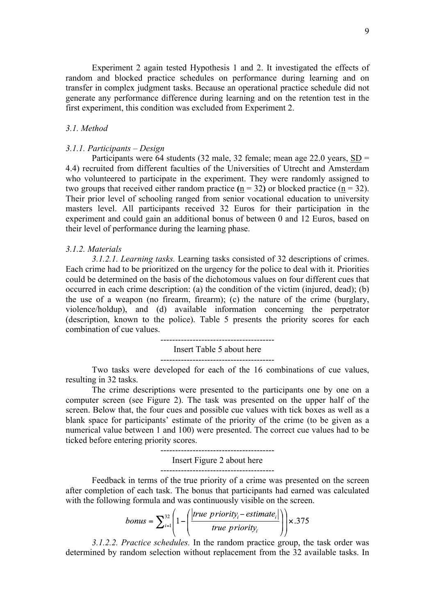Experiment 2 again tested Hypothesis 1 and 2. It investigated the effects of random and blocked practice schedules on performance during learning and on transfer in complex judgment tasks. Because an operational practice schedule did not generate any performance difference during learning and on the retention test in the first experiment, this condition was excluded from Experiment 2.

### *3.1. Method*

# *3.1.1. Participants – Design*

Participants were 64 students (32 male, 32 female; mean age 22.0 years,  $SD =$ 4.4) recruited from different faculties of the Universities of Utrecht and Amsterdam who volunteered to participate in the experiment. They were randomly assigned to two groups that received either random practice  $(n = 32)$  or blocked practice  $(n = 32)$ . Their prior level of schooling ranged from senior vocational education to university masters level. All participants received 32 Euros for their participation in the experiment and could gain an additional bonus of between 0 and 12 Euros, based on their level of performance during the learning phase.

### *3.1.2. Materials*

*3.1.2.1. Learning tasks.* Learning tasks consisted of 32 descriptions of crimes. Each crime had to be prioritized on the urgency for the police to deal with it. Priorities could be determined on the basis of the dichotomous values on four different cues that occurred in each crime description: (a) the condition of the victim (injured, dead); (b) the use of a weapon (no firearm, firearm); (c) the nature of the crime (burglary, violence/holdup), and (d) available information concerning the perpetrator (description, known to the police). Table 5 presents the priority scores for each combination of cue values.

Insert Table 5 about here

---------------------------------------

---------------------------------------

Two tasks were developed for each of the 16 combinations of cue values, resulting in 32 tasks.

The crime descriptions were presented to the participants one by one on a computer screen (see Figure 2). The task was presented on the upper half of the screen. Below that, the four cues and possible cue values with tick boxes as well as a blank space for participants' estimate of the priority of the crime (to be given as a numerical value between 1 and 100) were presented. The correct cue values had to be ticked before entering priority scores.

> --------------------------------------- Insert Figure 2 about here ---------------------------------------

Feedback in terms of the true priority of a crime was presented on the screen after completion of each task. The bonus that participants had earned was calculated with the following formula and was continuously visible on the screen.

$$
bonus = \sum_{i=1}^{32} \left( 1 - \left( \frac{|true\; priority_i - estimate_i|}{true\; priority_i} \right) \right) \times .375
$$

*3.1.2.2. Practice schedules.* In the random practice group, the task order was determined by random selection without replacement from the 32 available tasks. In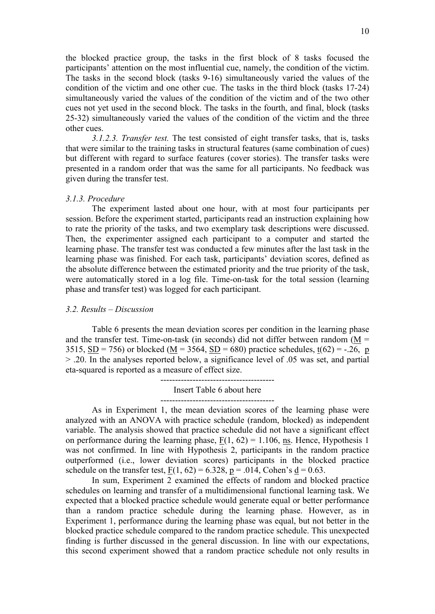the blocked practice group, the tasks in the first block of 8 tasks focused the participants' attention on the most influential cue, namely, the condition of the victim. The tasks in the second block (tasks 9-16) simultaneously varied the values of the condition of the victim and one other cue. The tasks in the third block (tasks 17-24) simultaneously varied the values of the condition of the victim and of the two other cues not yet used in the second block. The tasks in the fourth, and final, block (tasks 25-32) simultaneously varied the values of the condition of the victim and the three other cues.

*3.1.2.3. Transfer test.* The test consisted of eight transfer tasks, that is, tasks that were similar to the training tasks in structural features (same combination of cues) but different with regard to surface features (cover stories). The transfer tasks were presented in a random order that was the same for all participants. No feedback was given during the transfer test.

### *3.1.3. Procedure*

The experiment lasted about one hour, with at most four participants per session. Before the experiment started, participants read an instruction explaining how to rate the priority of the tasks, and two exemplary task descriptions were discussed. Then, the experimenter assigned each participant to a computer and started the learning phase. The transfer test was conducted a few minutes after the last task in the learning phase was finished. For each task, participants' deviation scores, defined as the absolute difference between the estimated priority and the true priority of the task, were automatically stored in a log file. Time-on-task for the total session (learning phase and transfer test) was logged for each participant.

### *3.2. Results – Discussion*

Table 6 presents the mean deviation scores per condition in the learning phase and the transfer test. Time-on-task (in seconds) did not differ between random ( $M =$ 3515, SD = 756) or blocked (M = 3564, SD = 680) practice schedules,  $t(62) = -0.26$ , p > .20. In the analyses reported below, a significance level of .05 was set, and partial eta-squared is reported as a measure of effect size.



As in Experiment 1, the mean deviation scores of the learning phase were analyzed with an ANOVA with practice schedule (random, blocked) as independent variable. The analysis showed that practice schedule did not have a significant effect on performance during the learning phase,  $F(1, 62) = 1.106$ , ns. Hence, Hypothesis 1 was not confirmed. In line with Hypothesis 2, participants in the random practice outperformed (i.e., lower deviation scores) participants in the blocked practice schedule on the transfer test,  $F(1, 62) = 6.328$ ,  $p = .014$ , Cohen's  $d = 0.63$ .

In sum, Experiment 2 examined the effects of random and blocked practice schedules on learning and transfer of a multidimensional functional learning task. We expected that a blocked practice schedule would generate equal or better performance than a random practice schedule during the learning phase. However, as in Experiment 1, performance during the learning phase was equal, but not better in the blocked practice schedule compared to the random practice schedule. This unexpected finding is further discussed in the general discussion. In line with our expectations, this second experiment showed that a random practice schedule not only results in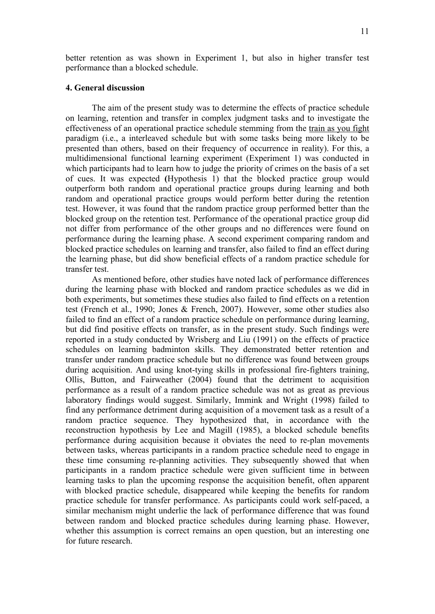better retention as was shown in Experiment 1, but also in higher transfer test performance than a blocked schedule.

# **4. General discussion**

The aim of the present study was to determine the effects of practice schedule on learning, retention and transfer in complex judgment tasks and to investigate the effectiveness of an operational practice schedule stemming from the train as you fight paradigm (i.e., a interleaved schedule but with some tasks being more likely to be presented than others, based on their frequency of occurrence in reality). For this, a multidimensional functional learning experiment (Experiment 1) was conducted in which participants had to learn how to judge the priority of crimes on the basis of a set of cues. It was expected **(**Hypothesis 1) that the blocked practice group would outperform both random and operational practice groups during learning and both random and operational practice groups would perform better during the retention test. However, it was found that the random practice group performed better than the blocked group on the retention test. Performance of the operational practice group did not differ from performance of the other groups and no differences were found on performance during the learning phase. A second experiment comparing random and blocked practice schedules on learning and transfer, also failed to find an effect during the learning phase, but did show beneficial effects of a random practice schedule for transfer test.

As mentioned before, other studies have noted lack of performance differences during the learning phase with blocked and random practice schedules as we did in both experiments, but sometimes these studies also failed to find effects on a retention test (French et al., 1990; Jones & French, 2007). However, some other studies also failed to find an effect of a random practice schedule on performance during learning, but did find positive effects on transfer, as in the present study. Such findings were reported in a study conducted by Wrisberg and Liu (1991) on the effects of practice schedules on learning badminton skills. They demonstrated better retention and transfer under random practice schedule but no difference was found between groups during acquisition. And using knot-tying skills in professional fire-fighters training, Ollis, Button, and Fairweather (2004) found that the detriment to acquisition performance as a result of a random practice schedule was not as great as previous laboratory findings would suggest. Similarly, Immink and Wright (1998) failed to find any performance detriment during acquisition of a movement task as a result of a random practice sequence. They hypothesized that, in accordance with the reconstruction hypothesis by Lee and Magill (1985), a blocked schedule benefits performance during acquisition because it obviates the need to re-plan movements between tasks, whereas participants in a random practice schedule need to engage in these time consuming re-planning activities. They subsequently showed that when participants in a random practice schedule were given sufficient time in between learning tasks to plan the upcoming response the acquisition benefit, often apparent with blocked practice schedule, disappeared while keeping the benefits for random practice schedule for transfer performance. As participants could work self-paced, a similar mechanism might underlie the lack of performance difference that was found between random and blocked practice schedules during learning phase. However, whether this assumption is correct remains an open question, but an interesting one for future research.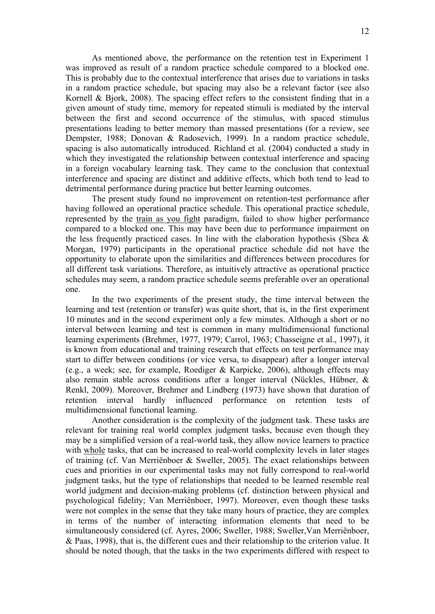As mentioned above, the performance on the retention test in Experiment 1 was improved as result of a random practice schedule compared to a blocked one. This is probably due to the contextual interference that arises due to variations in tasks in a random practice schedule, but spacing may also be a relevant factor (see also Kornell & Bjork, 2008). The spacing effect refers to the consistent finding that in a given amount of study time, memory for repeated stimuli is mediated by the interval between the first and second occurrence of the stimulus, with spaced stimulus presentations leading to better memory than massed presentations (for a review, see Dempster, 1988; Donovan & Radosevich, 1999). In a random practice schedule, spacing is also automatically introduced. Richland et al. (2004) conducted a study in which they investigated the relationship between contextual interference and spacing in a foreign vocabulary learning task. They came to the conclusion that contextual interference and spacing are distinct and additive effects, which both tend to lead to detrimental performance during practice but better learning outcomes.

The present study found no improvement on retention-test performance after having followed an operational practice schedule. This operational practice schedule, represented by the train as you fight paradigm, failed to show higher performance compared to a blocked one. This may have been due to performance impairment on the less frequently practiced cases. In line with the elaboration hypothesis (Shea  $\&$ Morgan, 1979) participants in the operational practice schedule did not have the opportunity to elaborate upon the similarities and differences between procedures for all different task variations. Therefore, as intuitively attractive as operational practice schedules may seem, a random practice schedule seems preferable over an operational one.

In the two experiments of the present study, the time interval between the learning and test (retention or transfer) was quite short, that is, in the first experiment 10 minutes and in the second experiment only a few minutes. Although a short or no interval between learning and test is common in many multidimensional functional learning experiments (Brehmer, 1977, 1979; Carrol, 1963; Chasseigne et al., 1997), it is known from educational and training research that effects on test performance may start to differ between conditions (or vice versa, to disappear) after a longer interval (e.g., a week; see, for example, Roediger & Karpicke, 2006), although effects may also remain stable across conditions after a longer interval (Nückles, Hübner, & Renkl, 2009). Moreover, Brehmer and Lindberg (1973) have shown that duration of retention interval hardly influenced performance on retention tests of multidimensional functional learning.

Another consideration is the complexity of the judgment task. These tasks are relevant for training real world complex judgment tasks, because even though they may be a simplified version of a real-world task, they allow novice learners to practice with whole tasks, that can be increased to real-world complexity levels in later stages of training (cf. Van Merriënboer & Sweller, 2005). The exact relationships between cues and priorities in our experimental tasks may not fully correspond to real-world judgment tasks, but the type of relationships that needed to be learned resemble real world judgment and decision-making problems (cf. distinction between physical and psychological fidelity; Van Merriënboer, 1997). Moreover, even though these tasks were not complex in the sense that they take many hours of practice, they are complex in terms of the number of interacting information elements that need to be simultaneously considered (cf. Ayres, 2006; Sweller, 1988; Sweller,Van Merriënboer, & Paas, 1998), that is, the different cues and their relationship to the criterion value. It should be noted though, that the tasks in the two experiments differed with respect to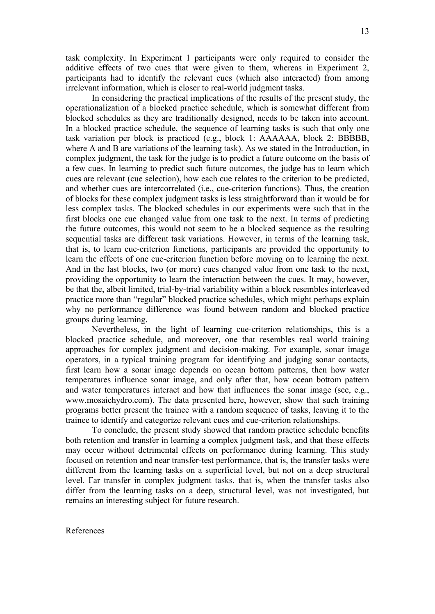task complexity. In Experiment 1 participants were only required to consider the additive effects of two cues that were given to them, whereas in Experiment 2, participants had to identify the relevant cues (which also interacted) from among irrelevant information, which is closer to real-world judgment tasks.

In considering the practical implications of the results of the present study, the operationalization of a blocked practice schedule, which is somewhat different from blocked schedules as they are traditionally designed, needs to be taken into account. In a blocked practice schedule, the sequence of learning tasks is such that only one task variation per block is practiced (e.g., block 1: AAAAAA, block 2: BBBBB, where A and B are variations of the learning task). As we stated in the Introduction, in complex judgment, the task for the judge is to predict a future outcome on the basis of a few cues. In learning to predict such future outcomes, the judge has to learn which cues are relevant (cue selection), how each cue relates to the criterion to be predicted, and whether cues are intercorrelated (i.e., cue-criterion functions). Thus, the creation of blocks for these complex judgment tasks is less straightforward than it would be for less complex tasks. The blocked schedules in our experiments were such that in the first blocks one cue changed value from one task to the next. In terms of predicting the future outcomes, this would not seem to be a blocked sequence as the resulting sequential tasks are different task variations. However, in terms of the learning task, that is, to learn cue-criterion functions, participants are provided the opportunity to learn the effects of one cue-criterion function before moving on to learning the next. And in the last blocks, two (or more) cues changed value from one task to the next, providing the opportunity to learn the interaction between the cues. It may, however, be that the, albeit limited, trial-by-trial variability within a block resembles interleaved practice more than "regular" blocked practice schedules, which might perhaps explain why no performance difference was found between random and blocked practice groups during learning.

Nevertheless, in the light of learning cue-criterion relationships, this is a blocked practice schedule, and moreover, one that resembles real world training approaches for complex judgment and decision-making. For example, sonar image operators, in a typical training program for identifying and judging sonar contacts, first learn how a sonar image depends on ocean bottom patterns, then how water temperatures influence sonar image, and only after that, how ocean bottom pattern and water temperatures interact and how that influences the sonar image (see, e.g., www.mosaichydro.com). The data presented here, however, show that such training programs better present the trainee with a random sequence of tasks, leaving it to the trainee to identify and categorize relevant cues and cue-criterion relationships.

To conclude, the present study showed that random practice schedule benefits both retention and transfer in learning a complex judgment task, and that these effects may occur without detrimental effects on performance during learning. This study focused on retention and near transfer-test performance, that is, the transfer tasks were different from the learning tasks on a superficial level, but not on a deep structural level. Far transfer in complex judgment tasks, that is, when the transfer tasks also differ from the learning tasks on a deep, structural level, was not investigated, but remains an interesting subject for future research.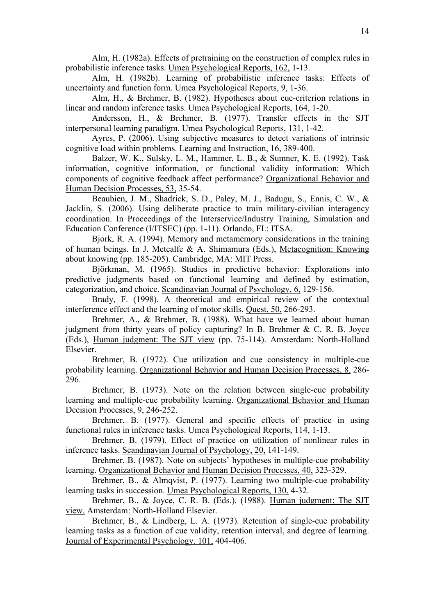Alm, H. (1982a). Effects of pretraining on the construction of complex rules in probabilistic inference tasks. Umea Psychological Reports, 162, 1-13.

Alm, H. (1982b). Learning of probabilistic inference tasks: Effects of uncertainty and function form. Umea Psychological Reports, 9, 1-36.

Alm, H., & Brehmer, B. (1982). Hypotheses about cue-criterion relations in linear and random inference tasks. Umea Psychological Reports, 164, 1-20.

Andersson, H., & Brehmer, B. (1977). Transfer effects in the SJT interpersonal learning paradigm. Umea Psychological Reports, 131, 1-42.

Ayres, P. (2006). Using subjective measures to detect variations of intrinsic cognitive load within problems. Learning and Instruction, 16, 389-400.

Balzer, W. K., Sulsky, L. M., Hammer, L. B., & Sumner, K. E. (1992). Task information, cognitive information, or functional validity information: Which components of cognitive feedback affect performance? Organizational Behavior and Human Decision Processes, 53, 35-54.

Beaubien, J. M., Shadrick, S. D., Paley, M. J., Badugu, S., Ennis, C. W., & Jacklin, S. (2006). Using deliberate practice to train military-civilian interagency coordination. In Proceedings of the Interservice/Industry Training, Simulation and Education Conference (I/ITSEC) (pp. 1-11). Orlando, FL: ITSA.

Bjork, R. A. (1994). Memory and metamemory considerations in the training of human beings. In J. Metcalfe & A. Shimamura (Eds.), Metacognition: Knowing about knowing (pp. 185-205). Cambridge, MA: MIT Press.

Björkman, M. (1965). Studies in predictive behavior: Explorations into predictive judgments based on functional learning and defined by estimation, categorization, and choice. Scandinavian Journal of Psychology, 6, 129-156.

Brady, F. (1998). A theoretical and empirical review of the contextual interference effect and the learning of motor skills. Quest, 50, 266-293.

Brehmer, A., & Brehmer, B. (1988). What have we learned about human judgment from thirty years of policy capturing? In B. Brehmer & C. R. B. Joyce (Eds.), Human judgment: The SJT view (pp. 75-114). Amsterdam: North-Holland Elsevier.

Brehmer, B. (1972). Cue utilization and cue consistency in multiple-cue probability learning. Organizational Behavior and Human Decision Processes, 8, 286- 296.

Brehmer, B. (1973). Note on the relation between single-cue probability learning and multiple-cue probability learning. Organizational Behavior and Human Decision Processes, 9, 246-252.

Brehmer, B. (1977). General and specific effects of practice in using functional rules in inference tasks. Umea Psychological Reports, 114, 1-13.

Brehmer, B. (1979). Effect of practice on utilization of nonlinear rules in inference tasks. Scandinavian Journal of Psychology, 20, 141-149.

Brehmer, B. (1987). Note on subjects' hypotheses in multiple-cue probability learning. Organizational Behavior and Human Decision Processes, 40, 323-329.

Brehmer, B., & Almqvist, P. (1977). Learning two multiple-cue probability learning tasks in succession. Umea Psychological Reports, 130, 4-32.

Brehmer, B., & Joyce, C. R. B. (Eds.). (1988). Human judgment: The SJT view. Amsterdam: North-Holland Elsevier.

Brehmer, B., & Lindberg, L. A. (1973). Retention of single-cue probability learning tasks as a function of cue validity, retention interval, and degree of learning. Journal of Experimental Psychology, 101, 404-406.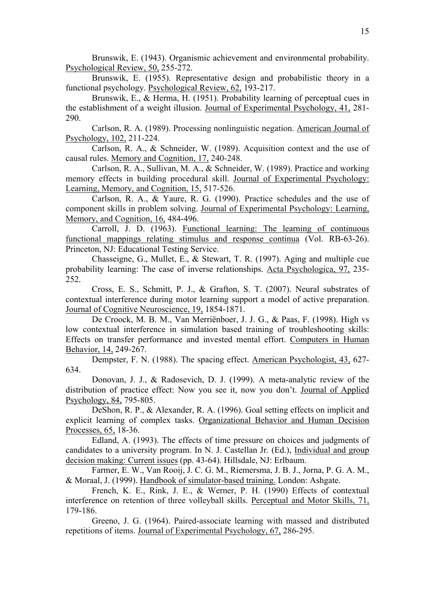Brunswik, E. (1943). Organismic achievement and environmental probability. Psychological Review, 50, 255-272.

Brunswik, E. (1955). Representative design and probabilistic theory in a functional psychology. Psychological Review, 62, 193-217.

Brunswik, E., & Herma, H. (1951). Probability learning of perceptual cues in the establishment of a weight illusion. Journal of Experimental Psychology, 41, 281- 290.

Carlson, R. A. (1989). Processing nonlinguistic negation. American Journal of Psychology, 102, 211-224.

Carlson, R. A., & Schneider, W. (1989). Acquisition context and the use of causal rules. Memory and Cognition, 17, 240-248.

Carlson, R. A., Sullivan, M. A., & Schneider, W. (1989). Practice and working memory effects in building procedural skill. Journal of Experimental Psychology: Learning, Memory, and Cognition, 15, 517-526.

Carlson, R. A., & Yaure, R. G. (1990). Practice schedules and the use of component skills in problem solving. Journal of Experimental Psychology: Learning, Memory, and Cognition, 16, 484-496.

Carroll, J. D. (1963). Functional learning: The learning of continuous functional mappings relating stimulus and response continua (Vol. RB-63-26). Princeton, NJ: Educational Testing Service.

Chasseigne, G., Mullet, E., & Stewart, T. R. (1997). Aging and multiple cue probability learning: The case of inverse relationships. Acta Psychologica, 97, 235- 252.

Cross, E. S., Schmitt, P. J., & Grafton, S. T. (2007). Neural substrates of contextual interference during motor learning support a model of active preparation. Journal of Cognitive Neuroscience, 19, 1854-1871.

De Croock, M. B. M., Van Merriënboer, J. J. G., & Paas, F. (1998). High vs low contextual interference in simulation based training of troubleshooting skills: Effects on transfer performance and invested mental effort. Computers in Human Behavior, 14, 249-267.

Dempster, F. N. (1988). The spacing effect. American Psychologist, 43, 627- 634.

Donovan, J. J., & Radosevich, D. J. (1999). A meta-analytic review of the distribution of practice effect: Now you see it, now you don't. Journal of Applied Psychology, 84, 795-805.

DeShon, R. P., & Alexander, R. A. (1996). Goal setting effects on implicit and explicit learning of complex tasks. Organizational Behavior and Human Decision Processes, 65, 18-36.

Edland, A. (1993). The effects of time pressure on choices and judgments of candidates to a university program. In N. J. Castellan Jr. (Ed.), Individual and group decision making: Current issues (pp. 43-64). Hillsdale, NJ: Erlbaum.

Farmer, E. W., Van Rooij, J. C. G. M., Riemersma, J. B. J., Jorna, P. G. A. M., & Moraal, J. (1999). Handbook of simulator-based training. London: Ashgate.

French, K. E., Rink, J. E., & Werner, P. H. (1990) Effects of contextual interference on retention of three volleyball skills. Perceptual and Motor Skills, 71, 179-186.

Greeno, J. G. (1964). Paired-associate learning with massed and distributed repetitions of items. Journal of Experimental Psychology, 67, 286-295.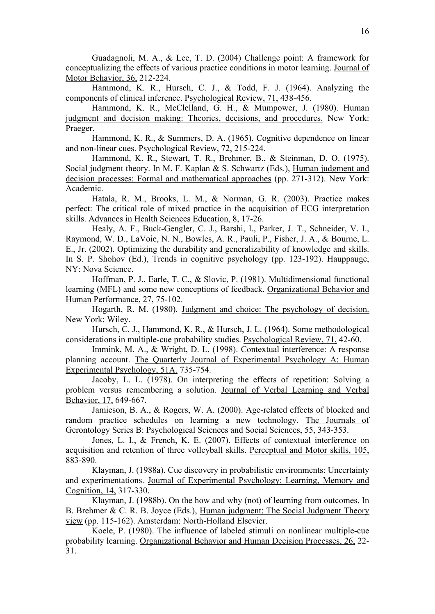Guadagnoli, M. A., & Lee, T. D. (2004) Challenge point: A framework for conceptualizing the effects of various practice conditions in motor learning. Journal of Motor Behavior, 36, 212-224.

Hammond, K. R., Hursch, C. J., & Todd, F. J. (1964). Analyzing the components of clinical inference. Psychological Review, 71, 438-456.

Hammond, K. R., McClelland, G. H., & Mumpower, J. (1980). Human judgment and decision making: Theories, decisions, and procedures. New York: Praeger.

Hammond, K. R., & Summers, D. A. (1965). Cognitive dependence on linear and non-linear cues. Psychological Review, 72, 215-224.

Hammond, K. R., Stewart, T. R., Brehmer, B., & Steinman, D. O. (1975). Social judgment theory. In M. F. Kaplan & S. Schwartz (Eds.), Human judgment and decision processes: Formal and mathematical approaches (pp. 271-312). New York: Academic.

Hatala, R. M., Brooks, L. M., & Norman, G. R. (2003). Practice makes perfect: The critical role of mixed practice in the acquisition of ECG interpretation skills. Advances in Health Sciences Education, 8, 17-26.

Healy, A. F., Buck-Gengler, C. J., Barshi, I., Parker, J. T., Schneider, V. I., Raymond, W. D., LaVoie, N. N., Bowles, A. R., Pauli, P., Fisher, J. A., & Bourne, L. E., Jr. (2002). Optimizing the durability and generalizability of knowledge and skills. In S. P. Shohov (Ed.), Trends in cognitive psychology (pp. 123-192). Hauppauge, NY: Nova Science.

Hoffman, P. J., Earle, T. C., & Slovic, P. (1981). Multidimensional functional learning (MFL) and some new conceptions of feedback. Organizational Behavior and Human Performance, 27, 75-102.

Hogarth, R. M. (1980). Judgment and choice: The psychology of decision. New York: Wiley.

Hursch, C. J., Hammond, K. R., & Hursch, J. L. (1964). Some methodological considerations in multiple-cue probability studies. Psychological Review, 71, 42-60.

Immink, M. A., & Wright, D. L. (1998). Contextual interference: A response planning account. The Quarterly Journal of Experimental Psychology A: Human Experimental Psychology, 51A, 735-754.

Jacoby, L. L. (1978). On interpreting the effects of repetition: Solving a problem versus remembering a solution. Journal of Verbal Learning and Verbal Behavior, 17, 649-667.

Jamieson, B. A., & Rogers, W. A. (2000). Age-related effects of blocked and random practice schedules on learning a new technology. The Journals of Gerontology Series B: Psychological Sciences and Social Sciences, 55, 343-353.

Jones, L. I., & French, K. E. (2007). Effects of contextual interference on acquisition and retention of three volleyball skills. Perceptual and Motor skills, 105, 883-890.

Klayman, J. (1988a). Cue discovery in probabilistic environments: Uncertainty and experimentations. Journal of Experimental Psychology: Learning, Memory and Cognition, 14, 317-330.

Klayman, J. (1988b). On the how and why (not) of learning from outcomes. In B. Brehmer & C. R. B. Joyce (Eds.), Human judgment: The Social Judgment Theory view (pp. 115-162). Amsterdam: North-Holland Elsevier.

Koele, P. (1980). The influence of labeled stimuli on nonlinear multiple-cue probability learning. Organizational Behavior and Human Decision Processes, 26, 22- 31.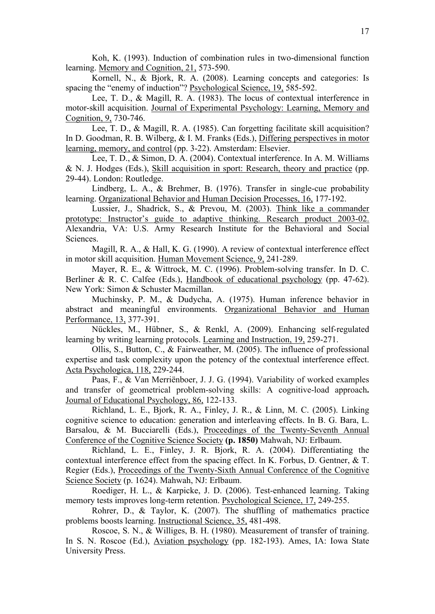Koh, K. (1993). Induction of combination rules in two-dimensional function learning. Memory and Cognition, 21, 573-590.

Kornell, N., & Bjork, R. A. (2008). Learning concepts and categories: Is spacing the "enemy of induction"? Psychological Science, 19, 585-592.

Lee, T. D., & Magill, R. A. (1983). The locus of contextual interference in motor-skill acquisition. Journal of Experimental Psychology: Learning, Memory and Cognition, 9, 730-746.

Lee, T. D., & Magill, R. A. (1985). Can forgetting facilitate skill acquisition? In D. Goodman, R. B. Wilberg, & I. M. Franks (Eds.), Differing perspectives in motor learning, memory, and control (pp. 3-22). Amsterdam: Elsevier.

Lee, T. D., & Simon, D. A. (2004). Contextual interference. In A. M. Williams & N. J. Hodges (Eds.), Skill acquisition in sport: Research, theory and practice (pp. 29-44). London: Routledge.

Lindberg, L. A., & Brehmer, B. (1976). Transfer in single-cue probability learning. Organizational Behavior and Human Decision Processes, 16, 177-192.

Lussier, J., Shadrick, S., & Prevou, M. (2003). Think like a commander prototype: Instructor's guide to adaptive thinking. Research product 2003-02. Alexandria, VA: U.S. Army Research Institute for the Behavioral and Social Sciences.

Magill, R. A., & Hall, K. G. (1990). A review of contextual interference effect in motor skill acquisition. Human Movement Science, 9, 241-289.

Mayer, R. E., & Wittrock, M. C. (1996). Problem-solving transfer. In D. C. Berliner & R. C. Calfee (Eds.), Handbook of educational psychology (pp. 47-62). New York: Simon & Schuster Macmillan.

Muchinsky, P. M., & Dudycha, A. (1975). Human inference behavior in abstract and meaningful environments. Organizational Behavior and Human Performance, 13, 377-391.

Nückles, M., Hübner, S., & Renkl, A. (2009). Enhancing self-regulated learning by writing learning protocols. Learning and Instruction, 19, 259-271.

Ollis, S., Button, C., & Fairweather, M. (2005). The influence of professional expertise and task complexity upon the potency of the contextual interference effect. Acta Psychologica, 118, 229-244.

Paas, F., & Van Merriënboer, J. J. G. (1994). Variability of worked examples and transfer of geometrical problem-solving skills: A cognitive-load approach**.**  Journal of Educational Psychology, 86, 122-133.

Richland, L. E., Bjork, R. A., Finley, J. R., & Linn, M. C. (2005). Linking cognitive science to education: generation and interleaving effects. In B. G. Bara, L. Barsalou, & M. Bucciarelli (Eds.), Proceedings of the Twenty-Seventh Annual Conference of the Cognitive Science Society **(p. 1850)** Mahwah, NJ: Erlbaum.

Richland, L. E., Finley, J. R. Bjork, R. A. (2004). Differentiating the contextual interference effect from the spacing effect. In K. Forbus, D. Gentner, & T. Regier (Eds.), Proceedings of the Twenty-Sixth Annual Conference of the Cognitive Science Society (p. 1624). Mahwah, NJ: Erlbaum.

Roediger, H. L., & Karpicke, J. D. (2006). Test-enhanced learning. Taking memory tests improves long-term retention. Psychological Science, 17, 249-255.

Rohrer, D., & Taylor, K. (2007). The shuffling of mathematics practice problems boosts learning. Instructional Science, 35, 481-498.

Roscoe, S. N., & Williges, B. H. (1980). Measurement of transfer of training. In S. N. Roscoe (Ed.), Aviation psychology (pp. 182-193). Ames, IA: Iowa State University Press.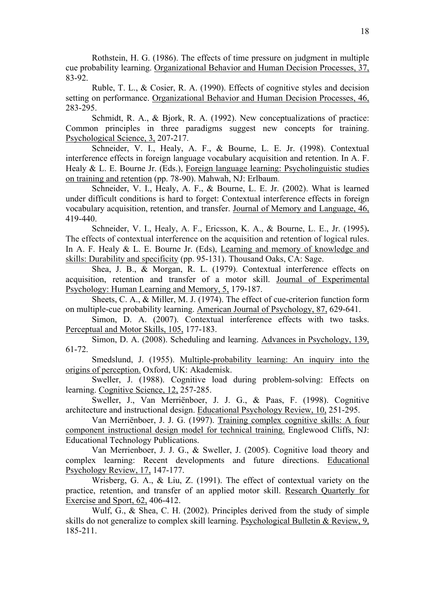Rothstein, H. G. (1986). The effects of time pressure on judgment in multiple cue probability learning. Organizational Behavior and Human Decision Processes, 37, 83-92.

Ruble, T. L., & Cosier, R. A. (1990). Effects of cognitive styles and decision setting on performance. Organizational Behavior and Human Decision Processes, 46, 283-295.

Schmidt, R. A., & Bjork, R. A. (1992). New conceptualizations of practice: Common principles in three paradigms suggest new concepts for training. Psychological Science, 3, 207-217.

Schneider, V. I., Healy, A. F., & Bourne, L. E. Jr. (1998). Contextual interference effects in foreign language vocabulary acquisition and retention. In A. F. Healy & L. E. Bourne Jr. (Eds.), Foreign language learning: Psycholinguistic studies on training and retention (pp. 78-90). Mahwah, NJ: Erlbaum.

Schneider, V. I., Healy, A. F., & Bourne, L. E. Jr. (2002). What is learned under difficult conditions is hard to forget: Contextual interference effects in foreign vocabulary acquisition, retention, and transfer. Journal of Memory and Language, 46, 419-440.

Schneider, V. I., Healy, A. F., Ericsson, K. A., & Bourne, L. E., Jr. (1995)**.** The effects of contextual interference on the acquisition and retention of logical rules. In A. F. Healy & L. E. Bourne Jr. (Eds), Learning and memory of knowledge and skills: Durability and specificity (pp. 95-131). Thousand Oaks, CA: Sage.

Shea, J. B., & Morgan, R. L. (1979). Contextual interference effects on acquisition, retention and transfer of a motor skill. Journal of Experimental Psychology: Human Learning and Memory, 5, 179-187.

Sheets, C. A., & Miller, M. J. (1974). The effect of cue-criterion function form on multiple-cue probability learning. American Journal of Psychology, 87, 629-641.

Simon, D. A. (2007). Contextual interference effects with two tasks. Perceptual and Motor Skills, 105, 177-183.

Simon, D. A. (2008). Scheduling and learning. Advances in Psychology, 139, 61-72.

Smedslund, J. (1955). Multiple-probability learning: An inquiry into the origins of perception. Oxford, UK: Akademisk.

Sweller, J. (1988). Cognitive load during problem-solving: Effects on learning. Cognitive Science, 12, 257-285.

Sweller, J., Van Merriënboer, J. J. G., & Paas, F. (1998). Cognitive architecture and instructional design. Educational Psychology Review, 10, 251-295.

Van Merriënboer, J. J. G. (1997). Training complex cognitive skills: A four component instructional design model for technical training. Englewood Cliffs, NJ: Educational Technology Publications.

Van Merrienboer, J. J. G., & Sweller, J. (2005). Cognitive load theory and complex learning: Recent developments and future directions. Educational Psychology Review, 17, 147-177.

Wrisberg, G. A., & Liu, Z. (1991). The effect of contextual variety on the practice, retention, and transfer of an applied motor skill. Research Quarterly for Exercise and Sport, 62, 406-412.

Wulf, G., & Shea, C. H. (2002). Principles derived from the study of simple skills do not generalize to complex skill learning. Psychological Bulletin & Review, 9, 185-211.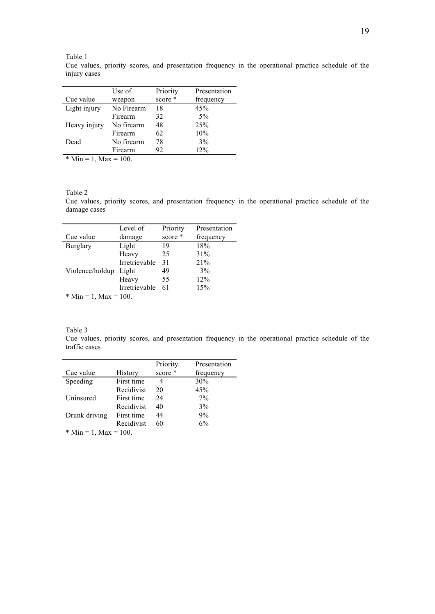Cue values, priority scores, and presentation frequency in the operational practice schedule of the injury cases

|              | Use of     | Priority | Presentation |
|--------------|------------|----------|--------------|
|              |            |          |              |
| Cue value    | weapon     | score *  | frequency    |
| Light injury | No Firearm | 18       | 45%          |
|              | Firearm    | 32       | $5\%$        |
| Heavy injury | No firearm | 48       | 25%          |
|              | Firearm    | 62       | 10%          |
| Dead         | No firearm | 78       | 3%           |
|              | Firearm    | 92       | 12%          |
|              |            |          |              |

 $*$  Min = 1, Max = 100.

Table 2

Cue values, priority scores, and presentation frequency in the operational practice schedule of the damage cases

|                                       | Level of      | Priority | Presentation |
|---------------------------------------|---------------|----------|--------------|
| Cue value                             | damage        | score *  | frequency    |
| <b>Burglary</b>                       | Light         | 19       | 18%          |
|                                       | Heavy         | 25       | 31%          |
|                                       | Irretrievable | 31       | 21%          |
| Violence/holdup                       | Light         | 49       | 3%           |
|                                       | Heavy         | 55       | 12%          |
|                                       | Irretrievable | 61       | 15%          |
| $\mathbf{a}$ $\mathbf{r}$<br>$\cdots$ | 100           |          |              |

 $*$  Min = 1, Max = 100.

Table 3

Cue values, priority scores, and presentation frequency in the operational practice schedule of the traffic cases

|                        |                   | Priority | Presentation |
|------------------------|-------------------|----------|--------------|
| Cue value              | History           | score *  | frequency    |
| Speeding               | First time        | 4        | 30%          |
|                        | Recidivist        | 20       | 45%          |
| Uninsured              | First time        | 24       | $7\%$        |
|                        | Recidivist        | 40       | 3%           |
| Drunk driving          | First time        | 44       | 9%           |
|                        | Recidivist        | 60       | 6%           |
| $+ 10$<br>$1 \times 1$ | $1 \wedge \wedge$ |          |              |

 $*$  Min = 1, Max = 100.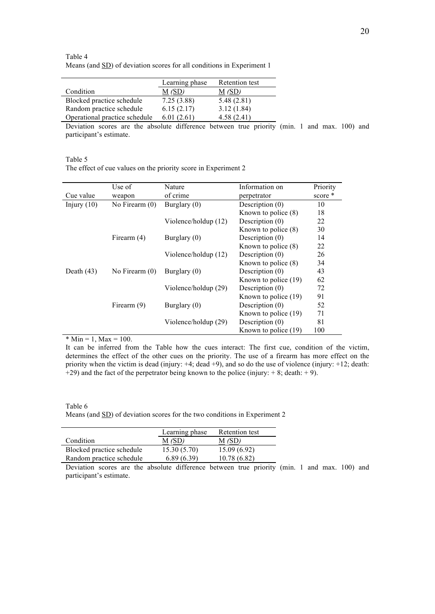Table 4 Means (and SD) of deviation scores for all conditions in Experiment 1

|                               | Learning phase | Retention test |
|-------------------------------|----------------|----------------|
| Condition                     | M(SD)          | M (SD)         |
| Blocked practice schedule     | 7.25(3.88)     | 5.48(2.81)     |
| Random practice schedule      | 6.15(2.17)     | 3.12(1.84)     |
| Operational practice schedule | 6.01(2.61)     | 4.58(2.41)     |

Deviation scores are the absolute difference between true priority (min. 1 and max. 100) and participant's estimate.

#### Table 5

The effect of cue values on the priority score in Experiment 2

|               | Use of           | Nature               | Information on         | Priority |
|---------------|------------------|----------------------|------------------------|----------|
| Cue value     | weapon           | of crime             | perpetrator            | score *  |
| Injury $(10)$ | No Firearm $(0)$ | Burglary $(0)$       | Description $(0)$      | 10       |
|               |                  |                      | Known to police $(8)$  | 18       |
|               |                  | Violence/holdup (12) | Description $(0)$      | 22       |
|               |                  |                      | Known to police $(8)$  | 30       |
|               | Firearm $(4)$    | Burglary $(0)$       | Description $(0)$      | 14       |
|               |                  |                      | Known to police $(8)$  | 22       |
|               |                  | Violence/holdup (12) | Description $(0)$      | 26       |
|               |                  |                      | Known to police $(8)$  | 34       |
| Death $(43)$  | No Firearm $(0)$ | Burglary $(0)$       | Description $(0)$      | 43       |
|               |                  |                      | Known to police $(19)$ | 62       |
|               |                  | Violence/holdup (29) | Description $(0)$      | 72       |
|               |                  |                      | Known to police (19)   | 91       |
|               | Firearm (9)      | Burglary $(0)$       | Description $(0)$      | 52       |
|               |                  |                      | Known to police (19)   | 71       |
|               |                  | Violence/holdup (29) | Description $(0)$      | 81       |
|               |                  |                      | Known to police (19)   | 100      |

 $*$  Min = 1, Max = 100.

It can be inferred from the Table how the cues interact: The first cue, condition of the victim, determines the effect of the other cues on the priority. The use of a firearm has more effect on the priority when the victim is dead (injury:  $+4$ ; dead  $+9$ ), and so do the use of violence (injury:  $+12$ ; death: +29) and the fact of the perpetrator being known to the police (injury:  $+ 8$ ; death:  $+ 9$ ).

Table 6 Means (and SD) of deviation scores for the two conditions in Experiment 2

|                           | Learning phase | Retention test |
|---------------------------|----------------|----------------|
| Condition                 | M (SD)         | M (SD)         |
| Blocked practice schedule | 15.30(5.70)    | 15.09(6.92)    |
| Random practice schedule  | 6.89(6.39)     | 10.78(6.82)    |

Deviation scores are the absolute difference between true priority (min. 1 and max. 100) and participant's estimate.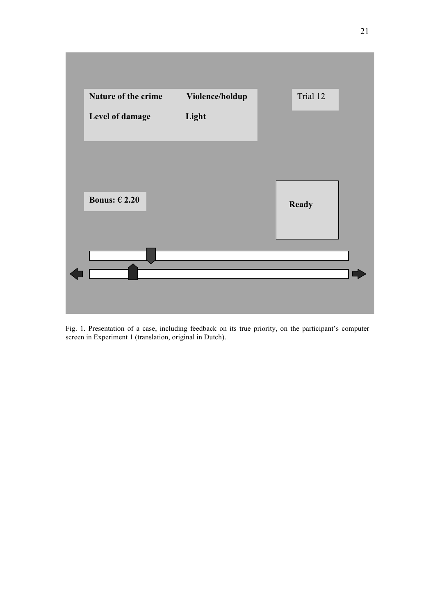

Fig. 1. Presentation of a case, including feedback on its true priority, on the participant's computer screen in Experiment 1 (translation, original in Dutch).